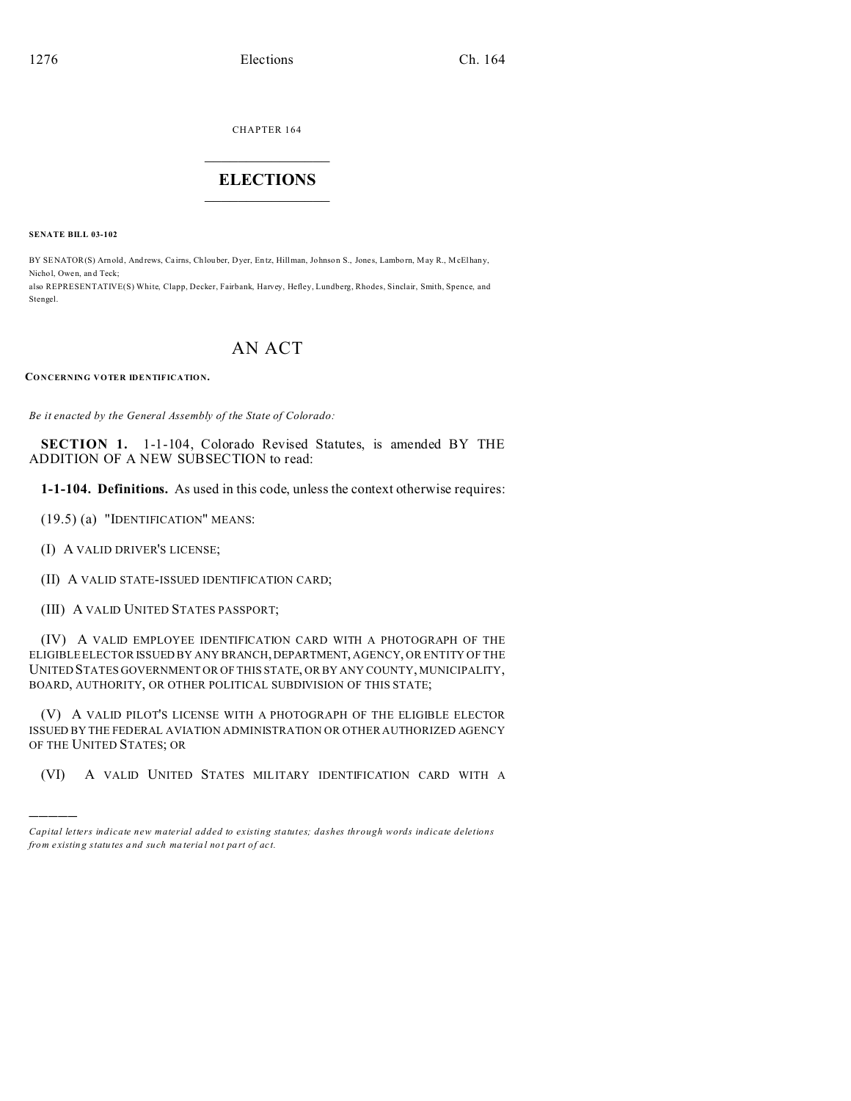CHAPTER 164  $\overline{\phantom{a}}$  , where  $\overline{\phantom{a}}$ 

## **ELECTIONS**  $\_$

**SENATE BILL 03-102**

Stengel.

BY SENATOR(S) Arnold, And rews, Cairns, Chlouber, Dyer, En tz, Hillman, Johnso n S., Jones, Lambo rn, May R., McElhany, Nichol, Owen, and Teck: also REPRESENTATIVE(S) White, Clapp, Decker, Fairbank, Harvey, Hefley, Lundberg, Rhodes, Sinclair, Smith, Spence, and

## AN ACT

**CONCERNING VOTER IDENTIFICATION.**

*Be it enacted by the General Assembly of the State of Colorado:*

**SECTION 1.** 1-1-104, Colorado Revised Statutes, is amended BY THE ADDITION OF A NEW SUBSECTION to read:

**1-1-104. Definitions.** As used in this code, unless the context otherwise requires:

(19.5) (a) "IDENTIFICATION" MEANS:

(I) A VALID DRIVER'S LICENSE;

)))))

- (II) A VALID STATE-ISSUED IDENTIFICATION CARD;
- (III) A VALID UNITED STATES PASSPORT;

(IV) A VALID EMPLOYEE IDENTIFICATION CARD WITH A PHOTOGRAPH OF THE ELIGIBLE ELECTOR ISSUED BY ANY BRANCH, DEPARTMENT, AGENCY, OR ENTITY OF THE UNITED STATES GOVERNMENT OR OF THIS STATE, OR BY ANY COUNTY, MUNICIPALITY, BOARD, AUTHORITY, OR OTHER POLITICAL SUBDIVISION OF THIS STATE;

(V) A VALID PILOT'S LICENSE WITH A PHOTOGRAPH OF THE ELIGIBLE ELECTOR ISSUED BY THE FEDERAL AVIATION ADMINISTRATION OR OTHER AUTHORIZED AGENCY OF THE UNITED STATES; OR

(VI) A VALID UNITED STATES MILITARY IDENTIFICATION CARD WITH A

*Capital letters indicate new material added to existing statutes; dashes through words indicate deletions from e xistin g statu tes a nd such ma teria l no t pa rt of ac t.*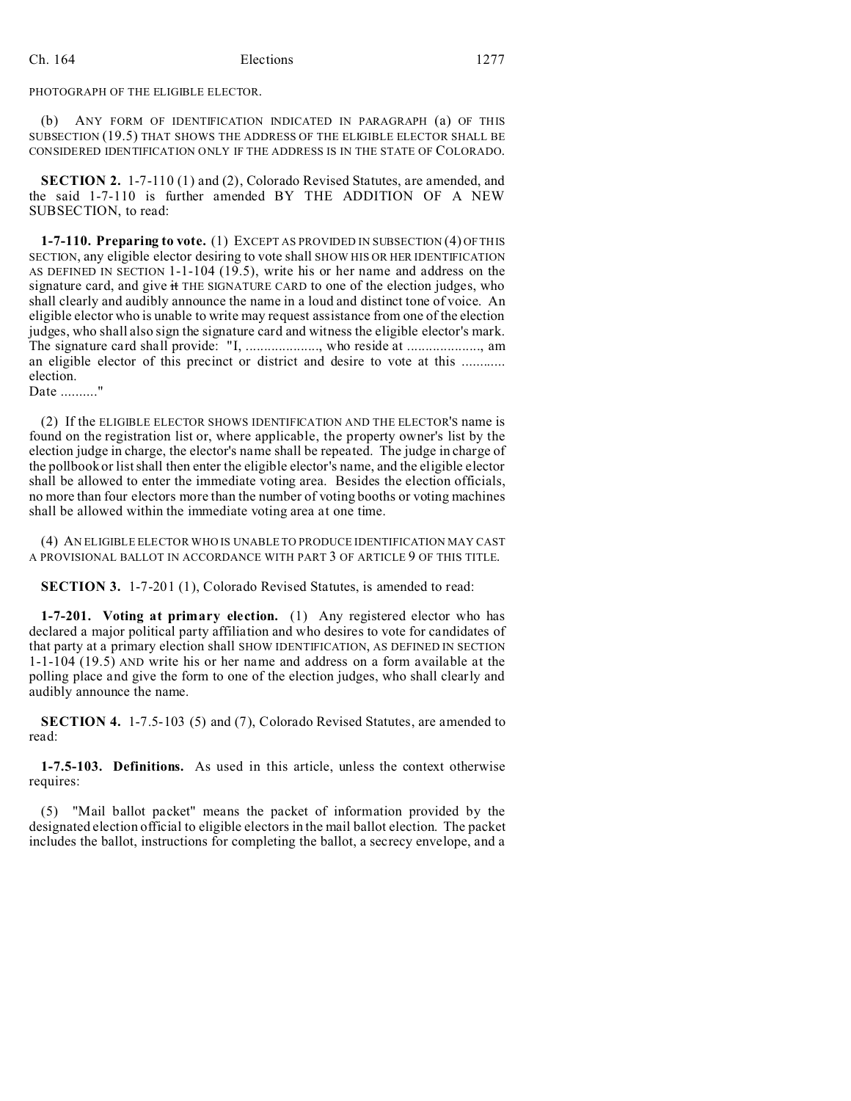PHOTOGRAPH OF THE ELIGIBLE ELECTOR.

(b) ANY FORM OF IDENTIFICATION INDICATED IN PARAGRAPH (a) OF THIS SUBSECTION (19.5) THAT SHOWS THE ADDRESS OF THE ELIGIBLE ELECTOR SHALL BE CONSIDERED IDENTIFICATION ONLY IF THE ADDRESS IS IN THE STATE OF COLORADO.

**SECTION 2.** 1-7-110 (1) and (2), Colorado Revised Statutes, are amended, and the said 1-7-110 is further amended BY THE ADDITION OF A NEW SUBSECTION, to read:

**1-7-110. Preparing to vote.** (1) EXCEPT AS PROVIDED IN SUBSECTION (4) OF THIS SECTION, any eligible elector desiring to vote shall SHOW HIS OR HER IDENTIFICATION AS DEFINED IN SECTION 1-1-104 (19.5), write his or her name and address on the signature card, and give it THE SIGNATURE CARD to one of the election judges, who shall clearly and audibly announce the name in a loud and distinct tone of voice. An eligible elector who is unable to write may request assistance from one of the election judges, who shall also sign the signature card and witness the eligible elector's mark. The signature card shall provide: "I, .................., who reside at ..................., am an eligible elector of this precinct or district and desire to vote at this ............ election.

Date .........."

(2) If the ELIGIBLE ELECTOR SHOWS IDENTIFICATION AND THE ELECTOR'S name is found on the registration list or, where applicable, the property owner's list by the election judge in charge, the elector's name shall be repeated. The judge in charge of the pollbook or list shall then enter the eligible elector's name, and the eligible elector shall be allowed to enter the immediate voting area. Besides the election officials, no more than four electors more than the number of voting booths or voting machines shall be allowed within the immediate voting area at one time.

(4) AN ELIGIBLE ELECTOR WHO IS UNABLE TO PRODUCE IDENTIFICATION MAY CAST A PROVISIONAL BALLOT IN ACCORDANCE WITH PART 3 OF ARTICLE 9 OF THIS TITLE.

**SECTION 3.** 1-7-201 (1), Colorado Revised Statutes, is amended to read:

**1-7-201. Voting at primary election.** (1) Any registered elector who has declared a major political party affiliation and who desires to vote for candidates of that party at a primary election shall SHOW IDENTIFICATION, AS DEFINED IN SECTION 1-1-104 (19.5) AND write his or her name and address on a form available at the polling place and give the form to one of the election judges, who shall clearly and audibly announce the name.

**SECTION 4.** 1-7.5-103 (5) and (7), Colorado Revised Statutes, are amended to read:

**1-7.5-103. Definitions.** As used in this article, unless the context otherwise requires:

(5) "Mail ballot packet" means the packet of information provided by the designated election official to eligible electors in the mail ballot election. The packet includes the ballot, instructions for completing the ballot, a secrecy envelope, and a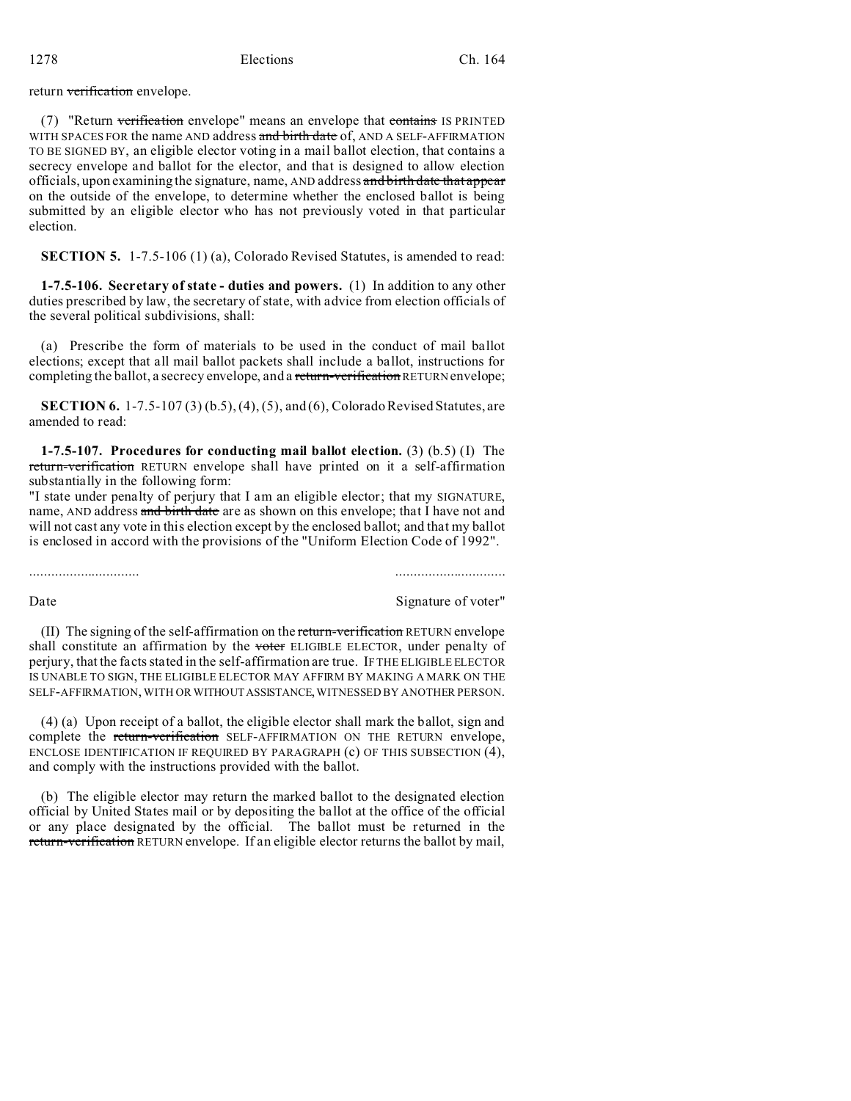1278 Elections Ch. 164

return verification envelope.

(7) "Return verification envelope" means an envelope that contains IS PRINTED WITH SPACES FOR the name AND address and birth date of, AND A SELF-AFFIRMATION TO BE SIGNED BY, an eligible elector voting in a mail ballot election, that contains a secrecy envelope and ballot for the elector, and that is designed to allow election officials, upon examining the signature, name, AND address and birth date that appear on the outside of the envelope, to determine whether the enclosed ballot is being submitted by an eligible elector who has not previously voted in that particular election.

**SECTION 5.** 1-7.5-106 (1) (a), Colorado Revised Statutes, is amended to read:

**1-7.5-106. Secretary of state - duties and powers.** (1) In addition to any other duties prescribed by law, the secretary of state, with advice from election officials of the several political subdivisions, shall:

(a) Prescribe the form of materials to be used in the conduct of mail ballot elections; except that all mail ballot packets shall include a ballot, instructions for completing the ballot, a secrecy envelope, and a return-verification RETURN envelope;

**SECTION 6.** 1-7.5-107 (3) (b.5), (4), (5), and (6), Colorado Revised Statutes, are amended to read:

**1-7.5-107. Procedures for conducting mail ballot election.** (3) (b.5) (I) The return-verification RETURN envelope shall have printed on it a self-affirmation substantially in the following form:

"I state under penalty of perjury that I am an eligible elector; that my SIGNATURE, name, AND address and birth date are as shown on this envelope; that I have not and will not cast any vote in this election except by the enclosed ballot; and that my ballot is enclosed in accord with the provisions of the "Uniform Election Code of 1992".

.............................. ..............................

Date Signature of voter"

(II) The signing of the self-affirmation on the return-verification RETURN envelope shall constitute an affirmation by the voter ELIGIBLE ELECTOR, under penalty of perjury, that the facts stated in the self-affirmation are true. IF THE ELIGIBLE ELECTOR IS UNABLE TO SIGN, THE ELIGIBLE ELECTOR MAY AFFIRM BY MAKING A MARK ON THE SELF-AFFIRMATION, WITH OR WITHOUTASSISTANCE, WITNESSED BY ANOTHER PERSON.

(4) (a) Upon receipt of a ballot, the eligible elector shall mark the ballot, sign and complete the return-verification SELF-AFFIRMATION ON THE RETURN envelope, ENCLOSE IDENTIFICATION IF REQUIRED BY PARAGRAPH (c) OF THIS SUBSECTION (4), and comply with the instructions provided with the ballot.

(b) The eligible elector may return the marked ballot to the designated election official by United States mail or by depositing the ballot at the office of the official or any place designated by the official. The ballot must be returned in the return-verification RETURN envelope. If an eligible elector returns the ballot by mail,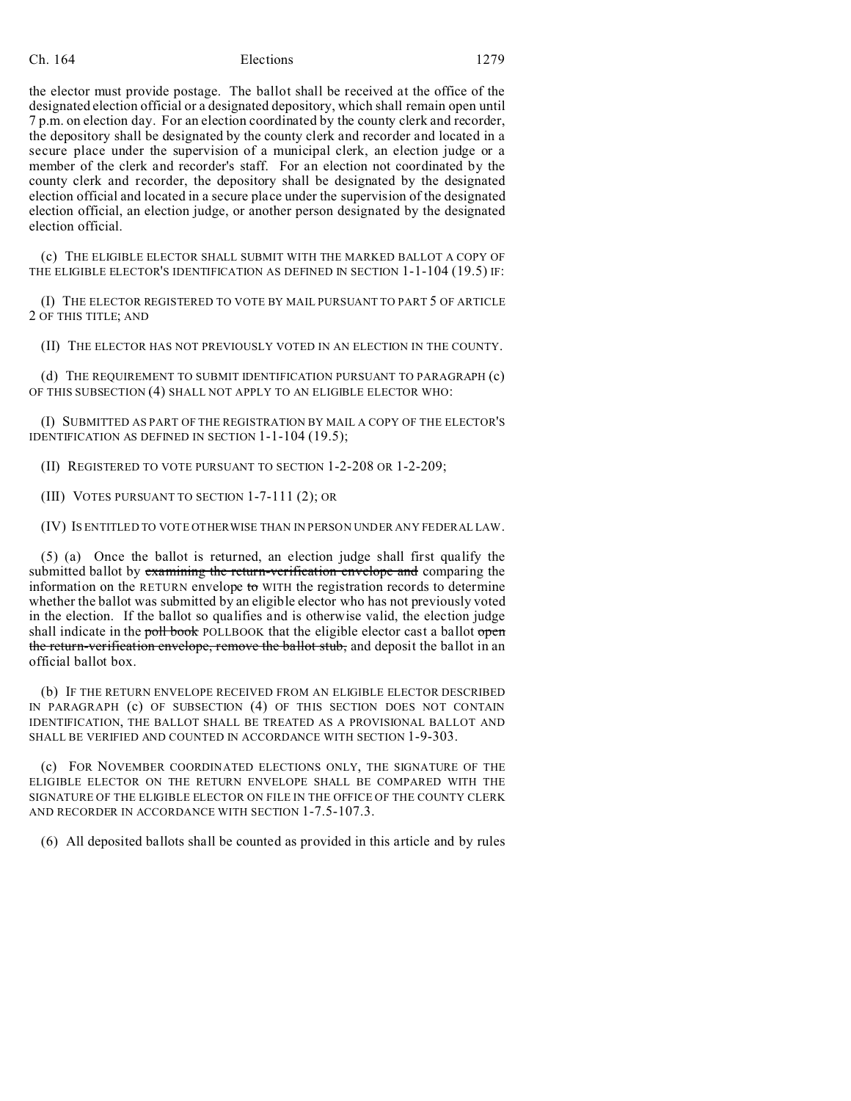## Ch. 164 Elections 1279

the elector must provide postage. The ballot shall be received at the office of the designated election official or a designated depository, which shall remain open until 7 p.m. on election day. For an election coordinated by the county clerk and recorder, the depository shall be designated by the county clerk and recorder and located in a secure place under the supervision of a municipal clerk, an election judge or a member of the clerk and recorder's staff. For an election not coordinated by the county clerk and recorder, the depository shall be designated by the designated election official and located in a secure place under the supervision of the designated election official, an election judge, or another person designated by the designated election official.

(c) THE ELIGIBLE ELECTOR SHALL SUBMIT WITH THE MARKED BALLOT A COPY OF THE ELIGIBLE ELECTOR'S IDENTIFICATION AS DEFINED IN SECTION 1-1-104 (19.5) IF:

(I) THE ELECTOR REGISTERED TO VOTE BY MAIL PURSUANT TO PART 5 OF ARTICLE 2 OF THIS TITLE; AND

(II) THE ELECTOR HAS NOT PREVIOUSLY VOTED IN AN ELECTION IN THE COUNTY.

(d) THE REQUIREMENT TO SUBMIT IDENTIFICATION PURSUANT TO PARAGRAPH (c) OF THIS SUBSECTION (4) SHALL NOT APPLY TO AN ELIGIBLE ELECTOR WHO:

(I) SUBMITTED AS PART OF THE REGISTRATION BY MAIL A COPY OF THE ELECTOR'S IDENTIFICATION AS DEFINED IN SECTION 1-1-104 (19.5);

(II) REGISTERED TO VOTE PURSUANT TO SECTION 1-2-208 OR 1-2-209;

(III) VOTES PURSUANT TO SECTION 1-7-111 (2); OR

(IV) IS ENTITLED TO VOTE OTHERWISE THAN IN PERSON UNDER ANY FEDERAL LAW.

(5) (a) Once the ballot is returned, an election judge shall first qualify the submitted ballot by examining the return-verification envelope and comparing the information on the RETURN envelope to WITH the registration records to determine whether the ballot was submitted by an eligible elector who has not previously voted in the election. If the ballot so qualifies and is otherwise valid, the election judge shall indicate in the poll book POLLBOOK that the eligible elector cast a ballot open the return-verification envelope, remove the ballot stub, and deposit the ballot in an official ballot box.

(b) IF THE RETURN ENVELOPE RECEIVED FROM AN ELIGIBLE ELECTOR DESCRIBED IN PARAGRAPH (c) OF SUBSECTION (4) OF THIS SECTION DOES NOT CONTAIN IDENTIFICATION, THE BALLOT SHALL BE TREATED AS A PROVISIONAL BALLOT AND SHALL BE VERIFIED AND COUNTED IN ACCORDANCE WITH SECTION 1-9-303.

(c) FOR NOVEMBER COORDINATED ELECTIONS ONLY, THE SIGNATURE OF THE ELIGIBLE ELECTOR ON THE RETURN ENVELOPE SHALL BE COMPARED WITH THE SIGNATURE OF THE ELIGIBLE ELECTOR ON FILE IN THE OFFICE OF THE COUNTY CLERK AND RECORDER IN ACCORDANCE WITH SECTION 1-7.5-107.3.

(6) All deposited ballots shall be counted as provided in this article and by rules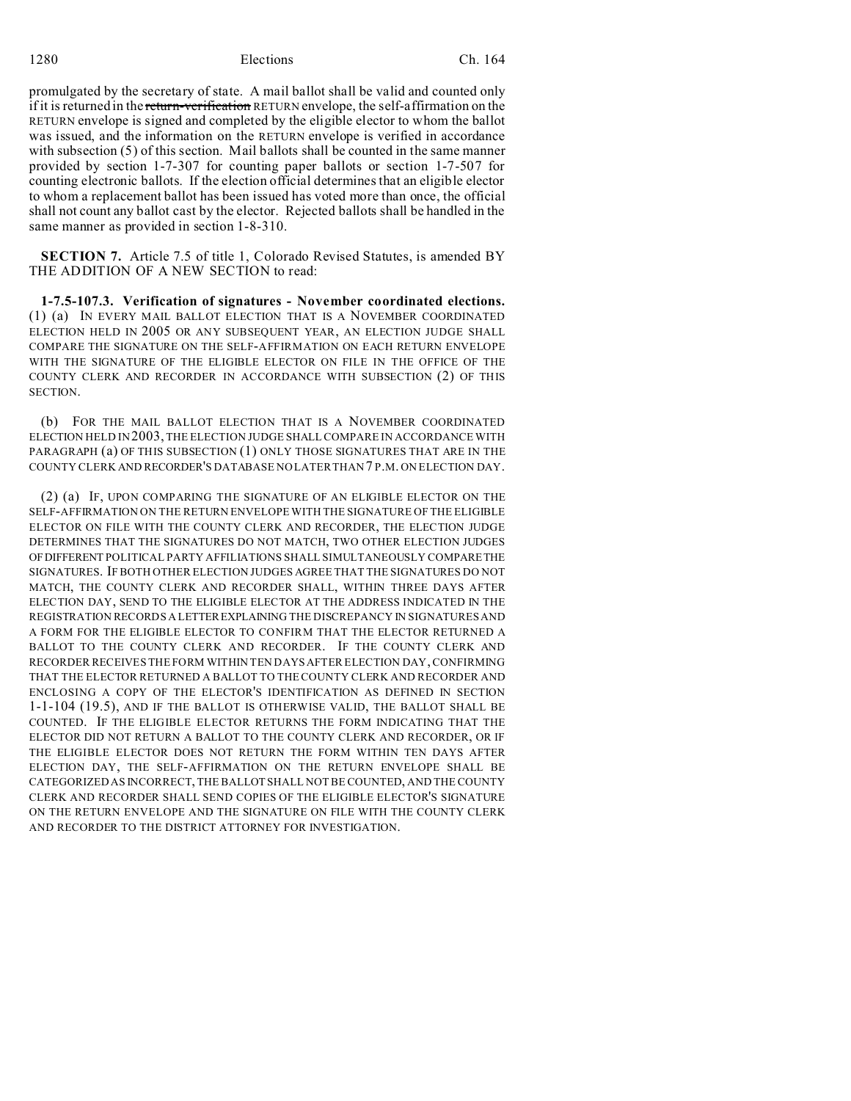1280 Elections Ch. 164

promulgated by the secretary of state. A mail ballot shall be valid and counted only if it is returned in the return-verification RETURN envelope, the self-affirmation on the RETURN envelope is signed and completed by the eligible elector to whom the ballot was issued, and the information on the RETURN envelope is verified in accordance with subsection (5) of this section. Mail ballots shall be counted in the same manner provided by section 1-7-307 for counting paper ballots or section 1-7-507 for counting electronic ballots. If the election official determines that an eligible elector to whom a replacement ballot has been issued has voted more than once, the official shall not count any ballot cast by the elector. Rejected ballots shall be handled in the same manner as provided in section 1-8-310.

**SECTION 7.** Article 7.5 of title 1, Colorado Revised Statutes, is amended BY THE ADDITION OF A NEW SECTION to read:

**1-7.5-107.3. Verification of signatures - November coordinated elections.** (1) (a) IN EVERY MAIL BALLOT ELECTION THAT IS A NOVEMBER COORDINATED ELECTION HELD IN 2005 OR ANY SUBSEQUENT YEAR, AN ELECTION JUDGE SHALL COMPARE THE SIGNATURE ON THE SELF-AFFIRMATION ON EACH RETURN ENVELOPE WITH THE SIGNATURE OF THE ELIGIBLE ELECTOR ON FILE IN THE OFFICE OF THE COUNTY CLERK AND RECORDER IN ACCORDANCE WITH SUBSECTION (2) OF THIS SECTION.

(b) FOR THE MAIL BALLOT ELECTION THAT IS A NOVEMBER COORDINATED ELECTION HELD IN 2003, THE ELECTION JUDGE SHALL COMPARE IN ACCORDANCE WITH PARAGRAPH (a) OF THIS SUBSECTION (1) ONLY THOSE SIGNATURES THAT ARE IN THE COUNTY CLERK AND RECORDER'S DATABASE NO LATER THAN 7 P.M. ON ELECTION DAY.

(2) (a) IF, UPON COMPARING THE SIGNATURE OF AN ELIGIBLE ELECTOR ON THE SELF-AFFIRMATION ON THE RETURN ENVELOPE WITH THE SIGNATURE OF THE ELIGIBLE ELECTOR ON FILE WITH THE COUNTY CLERK AND RECORDER, THE ELECTION JUDGE DETERMINES THAT THE SIGNATURES DO NOT MATCH, TWO OTHER ELECTION JUDGES OFDIFFERENT POLITICAL PARTY AFFILIATIONS SHALL SIMULTANEOUSLY COMPARETHE SIGNATURES. IF BOTH OTHER ELECTION JUDGES AGREE THAT THE SIGNATURES DO NOT MATCH, THE COUNTY CLERK AND RECORDER SHALL, WITHIN THREE DAYS AFTER ELECTION DAY, SEND TO THE ELIGIBLE ELECTOR AT THE ADDRESS INDICATED IN THE REGISTRATION RECORDS A LETTEREXPLAINING THE DISCREPANCY IN SIGNATURES AND A FORM FOR THE ELIGIBLE ELECTOR TO CONFIRM THAT THE ELECTOR RETURNED A BALLOT TO THE COUNTY CLERK AND RECORDER. IF THE COUNTY CLERK AND RECORDER RECEIVES THE FORM WITHIN TEN DAYS AFTER ELECTION DAY, CONFIRMING THAT THE ELECTOR RETURNED A BALLOT TO THE COUNTY CLERK AND RECORDER AND ENCLOSING A COPY OF THE ELECTOR'S IDENTIFICATION AS DEFINED IN SECTION 1-1-104 (19.5), AND IF THE BALLOT IS OTHERWISE VALID, THE BALLOT SHALL BE COUNTED. IF THE ELIGIBLE ELECTOR RETURNS THE FORM INDICATING THAT THE ELECTOR DID NOT RETURN A BALLOT TO THE COUNTY CLERK AND RECORDER, OR IF THE ELIGIBLE ELECTOR DOES NOT RETURN THE FORM WITHIN TEN DAYS AFTER ELECTION DAY, THE SELF-AFFIRMATION ON THE RETURN ENVELOPE SHALL BE CATEGORIZED AS INCORRECT, THE BALLOT SHALL NOT BE COUNTED, AND THE COUNTY CLERK AND RECORDER SHALL SEND COPIES OF THE ELIGIBLE ELECTOR'S SIGNATURE ON THE RETURN ENVELOPE AND THE SIGNATURE ON FILE WITH THE COUNTY CLERK AND RECORDER TO THE DISTRICT ATTORNEY FOR INVESTIGATION.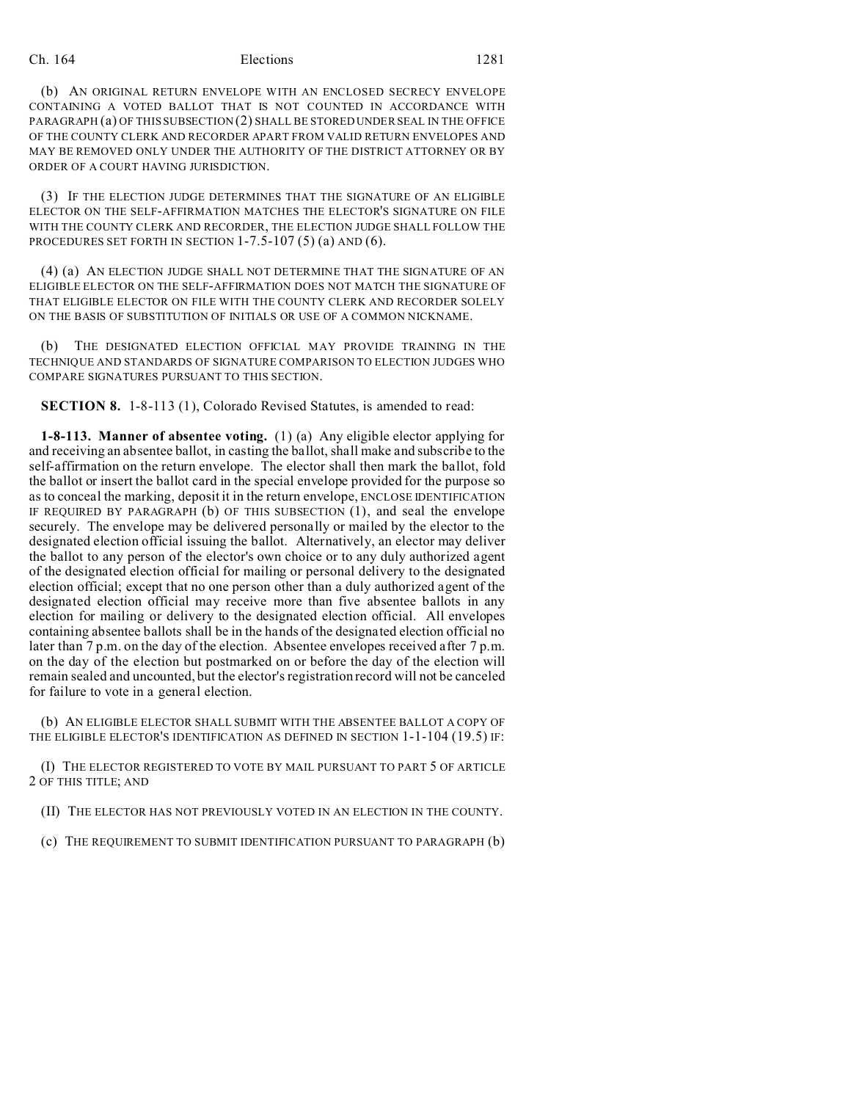## Ch. 164 Elections 1281

(b) AN ORIGINAL RETURN ENVELOPE WITH AN ENCLOSED SECRECY ENVELOPE CONTAINING A VOTED BALLOT THAT IS NOT COUNTED IN ACCORDANCE WITH PARAGRAPH (a) OF THIS SUBSECTION (2) SHALL BE STORED UNDER SEAL IN THE OFFICE OF THE COUNTY CLERK AND RECORDER APART FROM VALID RETURN ENVELOPES AND MAY BE REMOVED ONLY UNDER THE AUTHORITY OF THE DISTRICT ATTORNEY OR BY ORDER OF A COURT HAVING JURISDICTION.

(3) IF THE ELECTION JUDGE DETERMINES THAT THE SIGNATURE OF AN ELIGIBLE ELECTOR ON THE SELF-AFFIRMATION MATCHES THE ELECTOR'S SIGNATURE ON FILE WITH THE COUNTY CLERK AND RECORDER, THE ELECTION JUDGE SHALL FOLLOW THE PROCEDURES SET FORTH IN SECTION  $1-7.5-107(5)(a)$  AND  $(6)$ .

(4) (a) AN ELECTION JUDGE SHALL NOT DETERMINE THAT THE SIGNATURE OF AN ELIGIBLE ELECTOR ON THE SELF-AFFIRMATION DOES NOT MATCH THE SIGNATURE OF THAT ELIGIBLE ELECTOR ON FILE WITH THE COUNTY CLERK AND RECORDER SOLELY ON THE BASIS OF SUBSTITUTION OF INITIALS OR USE OF A COMMON NICKNAME.

(b) THE DESIGNATED ELECTION OFFICIAL MAY PROVIDE TRAINING IN THE TECHNIQUE AND STANDARDS OF SIGNATURE COMPARISON TO ELECTION JUDGES WHO COMPARE SIGNATURES PURSUANT TO THIS SECTION.

**SECTION 8.** 1-8-113 (1), Colorado Revised Statutes, is amended to read:

**1-8-113. Manner of absentee voting.** (1) (a) Any eligible elector applying for and receiving an absentee ballot, in casting the ballot, shall make and subscribe to the self-affirmation on the return envelope. The elector shall then mark the ballot, fold the ballot or insert the ballot card in the special envelope provided for the purpose so as to conceal the marking, deposit it in the return envelope, ENCLOSE IDENTIFICATION IF REQUIRED BY PARAGRAPH (b) OF THIS SUBSECTION (1), and seal the envelope securely. The envelope may be delivered personally or mailed by the elector to the designated election official issuing the ballot. Alternatively, an elector may deliver the ballot to any person of the elector's own choice or to any duly authorized agent of the designated election official for mailing or personal delivery to the designated election official; except that no one person other than a duly authorized agent of the designated election official may receive more than five absentee ballots in any election for mailing or delivery to the designated election official. All envelopes containing absentee ballots shall be in the hands of the designated election official no later than 7 p.m. on the day of the election. Absentee envelopes received after 7 p.m. on the day of the election but postmarked on or before the day of the election will remain sealed and uncounted, but the elector's registration record will not be canceled for failure to vote in a general election.

(b) AN ELIGIBLE ELECTOR SHALL SUBMIT WITH THE ABSENTEE BALLOT A COPY OF THE ELIGIBLE ELECTOR'S IDENTIFICATION AS DEFINED IN SECTION 1-1-104 (19.5) IF:

(I) THE ELECTOR REGISTERED TO VOTE BY MAIL PURSUANT TO PART 5 OF ARTICLE 2 OF THIS TITLE; AND

(II) THE ELECTOR HAS NOT PREVIOUSLY VOTED IN AN ELECTION IN THE COUNTY.

(c) THE REQUIREMENT TO SUBMIT IDENTIFICATION PURSUANT TO PARAGRAPH (b)